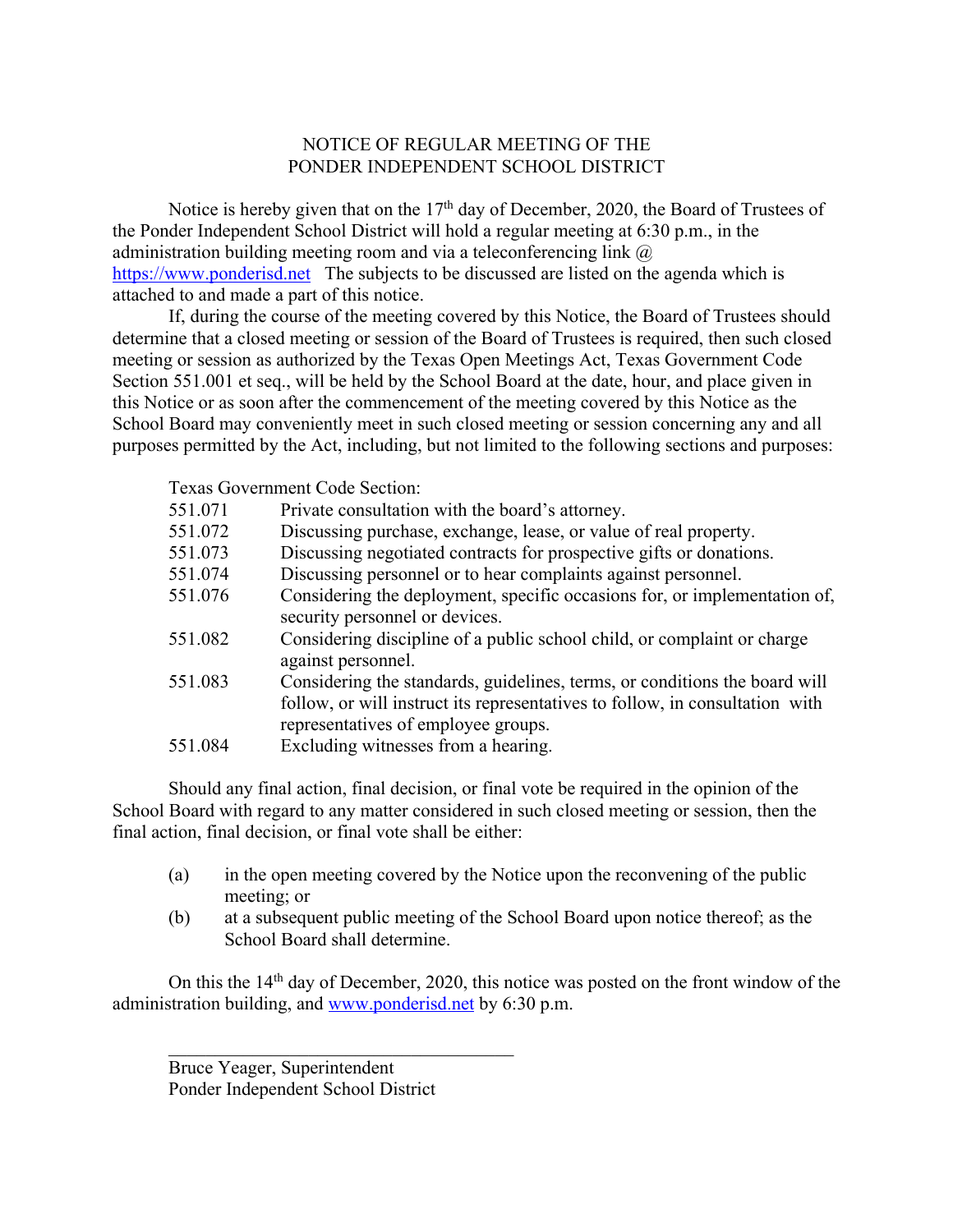## NOTICE OF REGULAR MEETING OF THE PONDER INDEPENDENT SCHOOL DISTRICT

Notice is hereby given that on the 17<sup>th</sup> day of December, 2020, the Board of Trustees of the Ponder Independent School District will hold a regular meeting at 6:30 p.m., in the administration building meeting room and via a teleconferencing link  $\omega$ https://www.ponderisd.net The subjects to be discussed are listed on the agenda which is attached to and made a part of this notice.

If, during the course of the meeting covered by this Notice, the Board of Trustees should determine that a closed meeting or session of the Board of Trustees is required, then such closed meeting or session as authorized by the Texas Open Meetings Act, Texas Government Code Section 551.001 et seq., will be held by the School Board at the date, hour, and place given in this Notice or as soon after the commencement of the meeting covered by this Notice as the School Board may conveniently meet in such closed meeting or session concerning any and all purposes permitted by the Act, including, but not limited to the following sections and purposes:

Texas Government Code Section:

| 551.071 | Private consultation with the board's attorney.                                                                                                                                                   |
|---------|---------------------------------------------------------------------------------------------------------------------------------------------------------------------------------------------------|
| 551.072 | Discussing purchase, exchange, lease, or value of real property.                                                                                                                                  |
| 551.073 | Discussing negotiated contracts for prospective gifts or donations.                                                                                                                               |
| 551.074 | Discussing personnel or to hear complaints against personnel.                                                                                                                                     |
| 551.076 | Considering the deployment, specific occasions for, or implementation of,<br>security personnel or devices.                                                                                       |
| 551.082 | Considering discipline of a public school child, or complaint or charge<br>against personnel.                                                                                                     |
| 551.083 | Considering the standards, guidelines, terms, or conditions the board will<br>follow, or will instruct its representatives to follow, in consultation with<br>representatives of employee groups. |
| 551.084 | Excluding witnesses from a hearing.                                                                                                                                                               |
|         |                                                                                                                                                                                                   |

Should any final action, final decision, or final vote be required in the opinion of the School Board with regard to any matter considered in such closed meeting or session, then the final action, final decision, or final vote shall be either:

- (a) in the open meeting covered by the Notice upon the reconvening of the public meeting; or
- (b) at a subsequent public meeting of the School Board upon notice thereof; as the School Board shall determine.

On this the  $14<sup>th</sup>$  day of December, 2020, this notice was posted on the front window of the administration building, and www.ponderisd.net by 6:30 p.m.

Bruce Yeager, Superintendent Ponder Independent School District